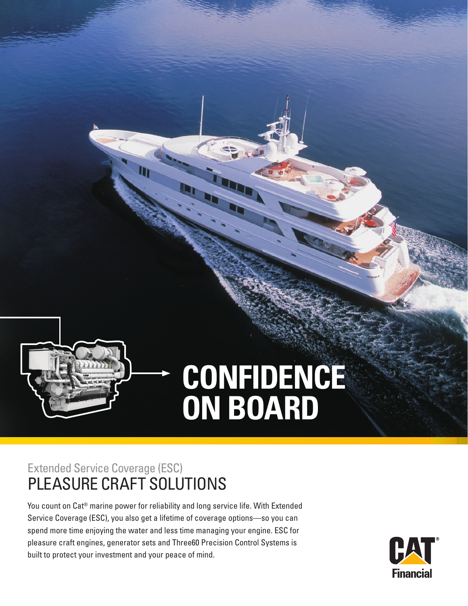# **CONFIDENCE ON BOARD**

## Extended Service Coverage (ESC) PLEASURE CRAFT SOLUTIONS

You count on Cat® marine power for reliability and long service life. With Extended Service Coverage (ESC), you also get a lifetime of coverage options—so you can spend more time enjoying the water and less time managing your engine. ESC for pleasure craft engines, generator sets and Three60 Precision Control Systems is built to protect your investment and your peace of mind.